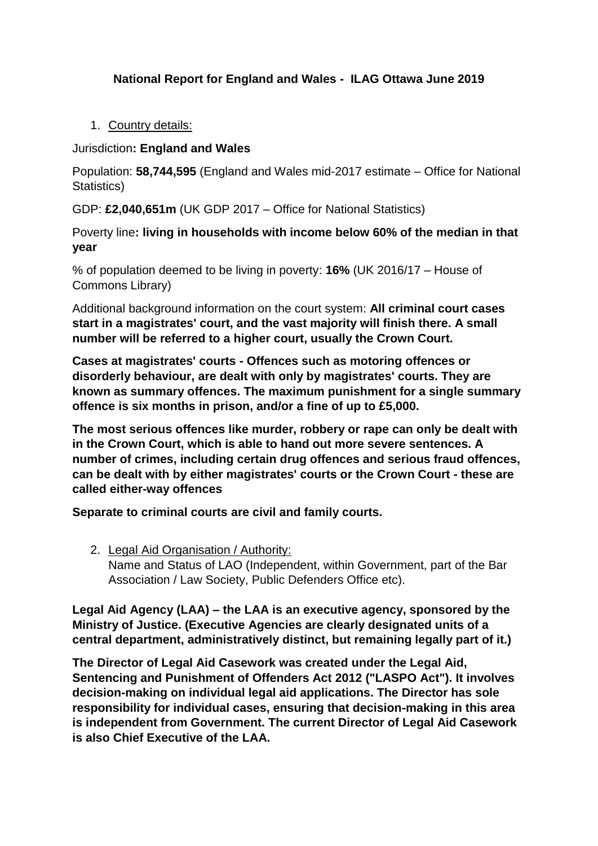# **National Report for England and Wales - ILAG Ottawa June 2019**

1. Country details:

Jurisdiction**: England and Wales**

Population: **58,744,595** (England and Wales mid-2017 estimate – Office for National Statistics)

GDP: **£2,040,651m** (UK GDP 2017 – Office for National Statistics)

Poverty line**: living in households with income below 60% of the median in that year**

% of population deemed to be living in poverty: **16%** (UK 2016/17 – House of Commons Library)

Additional background information on the court system: **All criminal court cases start in a magistrates' court, and the vast majority will finish there. A small number will be referred to a higher court, usually the Crown Court.**

**Cases at magistrates' courts - Offences such as motoring offences or disorderly behaviour, are dealt with only by magistrates' courts. They are known as summary offences. The maximum punishment for a single summary offence is six months in prison, and/or a fine of up to £5,000.** 

**The most serious offences like murder, robbery or rape can only be dealt with in the Crown Court, which is able to hand out more severe sentences. A number of crimes, including certain drug offences and serious fraud offences, can be dealt with by either magistrates' courts or the Crown Court - these are called either-way offences**

**Separate to criminal courts are civil and family courts.**

2. Legal Aid Organisation / Authority: Name and Status of LAO (Independent, within Government, part of the Bar Association / Law Society, Public Defenders Office etc).

**Legal Aid Agency (LAA) – the LAA is an executive agency, sponsored by the Ministry of Justice. (Executive Agencies are clearly designated units of a central department, administratively distinct, but remaining legally part of it.)**

**The Director of Legal Aid Casework was created under the Legal Aid, Sentencing and Punishment of Offenders Act 2012 ("LASPO Act"). It involves decision-making on individual legal aid applications. The Director has sole responsibility for individual cases, ensuring that decision-making in this area is independent from Government. The current Director of Legal Aid Casework is also Chief Executive of the LAA.**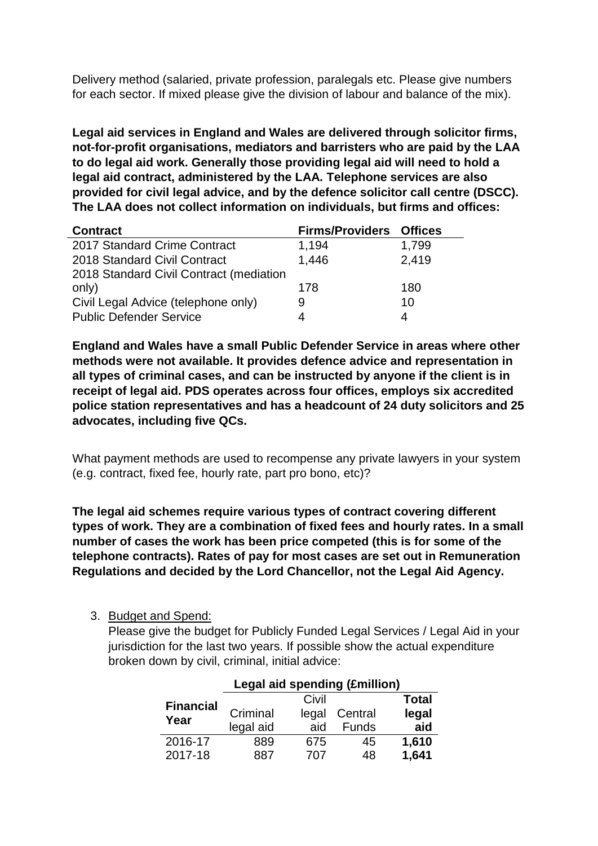Delivery method (salaried, private profession, paralegals etc. Please give numbers for each sector. If mixed please give the division of labour and balance of the mix).

**Legal aid services in England and Wales are delivered through solicitor firms, not-for-profit organisations, mediators and barristers who are paid by the LAA to do legal aid work. Generally those providing legal aid will need to hold a legal aid contract, administered by the LAA. Telephone services are also provided for civil legal advice, and by the defence solicitor call centre (DSCC). The LAA does not collect information on individuals, but firms and offices:**

| <b>Contract</b>                         | <b>Firms/Providers Offices</b> |       |
|-----------------------------------------|--------------------------------|-------|
| 2017 Standard Crime Contract            | 1,194                          | 1,799 |
| 2018 Standard Civil Contract            | 1,446                          | 2,419 |
| 2018 Standard Civil Contract (mediation |                                |       |
| only)                                   | 178                            | 180   |
| Civil Legal Advice (telephone only)     | 9                              | 10    |
| <b>Public Defender Service</b>          |                                |       |

**England and Wales have a small Public Defender Service in areas where other methods were not available. It provides defence advice and representation in all types of criminal cases, and can be instructed by anyone if the client is in receipt of legal aid. PDS operates across four offices, employs six accredited police station representatives and has a headcount of 24 duty solicitors and 25 advocates, including five QCs.**

What payment methods are used to recompense any private lawyers in your system (e.g. contract, fixed fee, hourly rate, part pro bono, etc)?

**The legal aid schemes require various types of contract covering different types of work. They are a combination of fixed fees and hourly rates. In a small number of cases the work has been price competed (this is for some of the telephone contracts). Rates of pay for most cases are set out in Remuneration Regulations and decided by the Lord Chancellor, not the Legal Aid Agency.**

3. Budget and Spend:

Please give the budget for Publicly Funded Legal Services / Legal Aid in your jurisdiction for the last two vears. If possible show the actual expenditure broken down by civil, criminal, initial advice:

|                  | Legal aid spending (Emillion) |              |              |       |  |  |  |
|------------------|-------------------------------|--------------|--------------|-------|--|--|--|
| <b>Financial</b> |                               | <b>Total</b> |              |       |  |  |  |
| Year             | Criminal                      | legal        | Central      | legal |  |  |  |
|                  | legal aid                     | aid          | <b>Funds</b> | aid   |  |  |  |
| 2016-17          | 889                           | 675          | 45           | 1,610 |  |  |  |
| 2017-18          | 887                           | 707          | 48           | 1,641 |  |  |  |

# **Legal aid spending (£million)**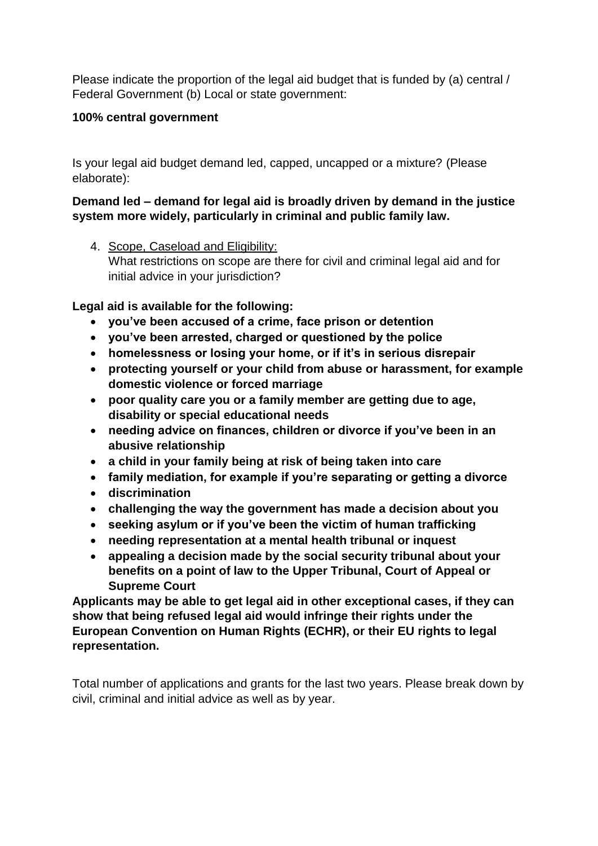Please indicate the proportion of the legal aid budget that is funded by (a) central / Federal Government (b) Local or state government:

## **100% central government**

Is your legal aid budget demand led, capped, uncapped or a mixture? (Please elaborate):

## **Demand led – demand for legal aid is broadly driven by demand in the justice system more widely, particularly in criminal and public family law.**

4. Scope, Caseload and Eligibility: What restrictions on scope are there for civil and criminal legal aid and for initial advice in your jurisdiction?

**Legal aid is available for the following:**

- **you've been accused of a crime, face prison or detention**
- **you've been arrested, charged or questioned by the police**
- **homelessness or losing your home, or if it's in serious disrepair**
- **protecting yourself or your child from abuse or harassment, for example domestic violence or forced marriage**
- **poor quality care you or a family member are getting due to age, disability or special educational needs**
- **needing advice on finances, children or divorce if you've been in an abusive relationship**
- **a child in your family being at risk of being taken into care**
- **family mediation, for example if you're separating or getting a divorce**
- **discrimination**
- **challenging the way the government has made a decision about you**
- **seeking asylum or if you've been the victim of human trafficking**
- **needing representation at a mental health tribunal or inquest**
- **appealing a decision made by the social security tribunal about your benefits on a point of law to the Upper Tribunal, Court of Appeal or Supreme Court**

**Applicants may be able to get legal aid in other exceptional cases, if they can show that being refused legal aid would infringe their rights under the European Convention on Human Rights (ECHR), or their EU rights to legal representation.**

Total number of applications and grants for the last two years. Please break down by civil, criminal and initial advice as well as by year.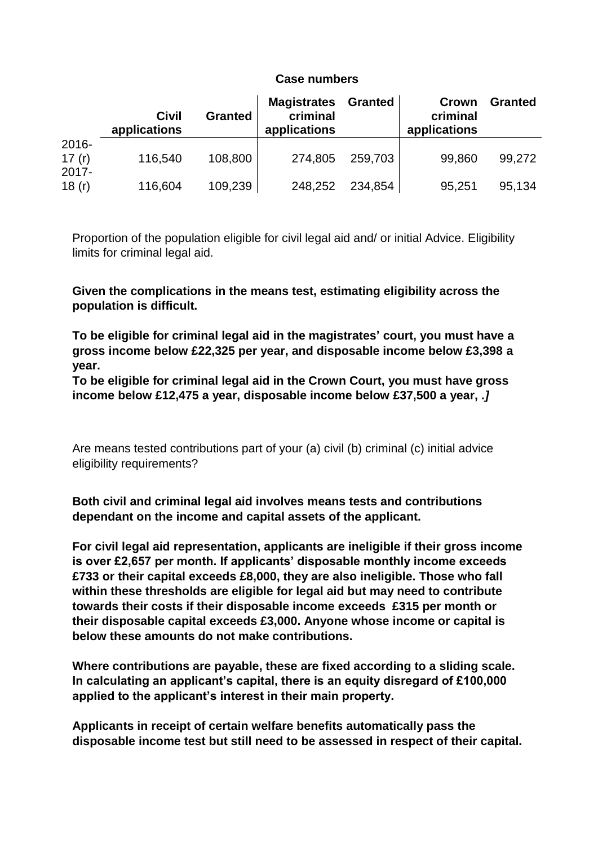#### **Case numbers**

|                      | <b>Civil</b><br>applications | <b>Granted</b> | <b>Magistrates</b><br>criminal<br>applications | <b>Granted</b> | Crown<br>criminal<br>applications | <b>Granted</b> |
|----------------------|------------------------------|----------------|------------------------------------------------|----------------|-----------------------------------|----------------|
| 2016-<br>17 $(r)$    | 116,540                      | 108,800        | 274,805                                        | 259,703        | 99,860                            | 99,272         |
| $2017 -$<br>18 $(r)$ | 116,604                      | 109,239        | 248,252                                        | 234,854        | 95,251                            | 95,134         |

Proportion of the population eligible for civil legal aid and/ or initial Advice. Eligibility limits for criminal legal aid.

**Given the complications in the means test, estimating eligibility across the population is difficult.**

**To be eligible for criminal legal aid in the magistrates' court, you must have a gross income below £22,325 per year, and disposable income below £3,398 a year.**

**To be eligible for criminal legal aid in the Crown Court, you must have gross income below £12,475 a year, disposable income below £37,500 a year,** *.]*

Are means tested contributions part of your (a) civil (b) criminal (c) initial advice eligibility requirements?

**Both civil and criminal legal aid involves means tests and contributions dependant on the income and capital assets of the applicant.** 

**For civil legal aid representation, applicants are ineligible if their gross income is over £2,657 per month. If applicants' disposable monthly income exceeds £733 or their capital exceeds £8,000, they are also ineligible. Those who fall within these thresholds are eligible for legal aid but may need to contribute towards their costs if their disposable income exceeds £315 per month or their disposable capital exceeds £3,000. Anyone whose income or capital is below these amounts do not make contributions.**

**Where contributions are payable, these are fixed according to a sliding scale. In calculating an applicant's capital, there is an equity disregard of £100,000 applied to the applicant's interest in their main property.**

**Applicants in receipt of certain welfare benefits automatically pass the disposable income test but still need to be assessed in respect of their capital.**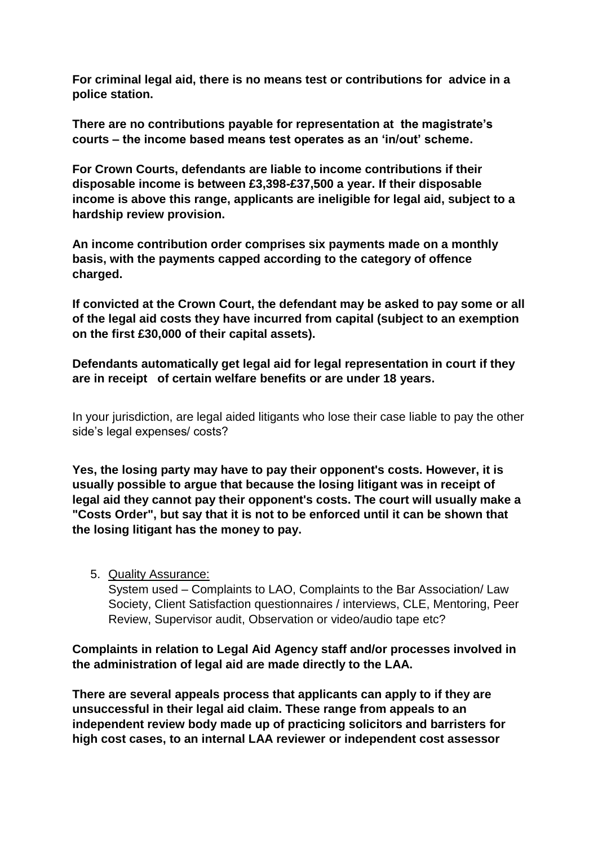**For criminal legal aid, there is no means test or contributions for advice in a police station.**

**There are no contributions payable for representation at the magistrate's courts – the income based means test operates as an 'in/out' scheme.** 

**For Crown Courts, defendants are liable to income contributions if their disposable income is between £3,398-£37,500 a year. If their disposable income is above this range, applicants are ineligible for legal aid, subject to a hardship review provision.**

**An income contribution order comprises six payments made on a monthly basis, with the payments capped according to the category of offence charged.** 

**If convicted at the Crown Court, the defendant may be asked to pay some or all of the legal aid costs they have incurred from capital (subject to an exemption on the first £30,000 of their capital assets).**

**Defendants automatically get legal aid for legal representation in court if they are in receipt of certain welfare benefits or are under 18 years.**

In your jurisdiction, are legal aided litigants who lose their case liable to pay the other side's legal expenses/ costs?

**Yes, the losing party may have to pay their opponent's costs. However, it is usually possible to argue that because the losing litigant was in receipt of legal aid they cannot pay their opponent's costs. The court will usually make a "Costs Order", but say that it is not to be enforced until it can be shown that the losing litigant has the money to pay.**

5. Quality Assurance:

System used – Complaints to LAO, Complaints to the Bar Association/ Law Society, Client Satisfaction questionnaires / interviews, CLE, Mentoring, Peer Review, Supervisor audit, Observation or video/audio tape etc?

**Complaints in relation to Legal Aid Agency staff and/or processes involved in the administration of legal aid are made directly to the LAA.** 

**There are several appeals process that applicants can apply to if they are unsuccessful in their legal aid claim. These range from appeals to an independent review body made up of practicing solicitors and barristers for high cost cases, to an internal LAA reviewer or independent cost assessor**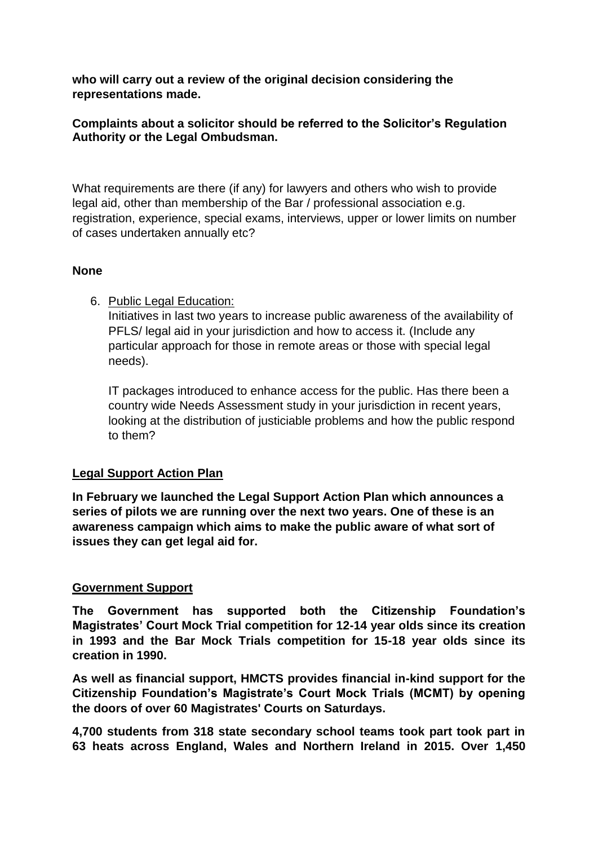**who will carry out a review of the original decision considering the representations made.**

## **Complaints about a solicitor should be referred to the Solicitor's Regulation Authority or the Legal Ombudsman.**

What requirements are there (if any) for lawyers and others who wish to provide legal aid, other than membership of the Bar / professional association e.g. registration, experience, special exams, interviews, upper or lower limits on number of cases undertaken annually etc?

### **None**

6. Public Legal Education:

Initiatives in last two years to increase public awareness of the availability of PFLS/ legal aid in your jurisdiction and how to access it. (Include any particular approach for those in remote areas or those with special legal needs).

IT packages introduced to enhance access for the public. Has there been a country wide Needs Assessment study in your jurisdiction in recent years, looking at the distribution of justiciable problems and how the public respond to them?

## **Legal Support Action Plan**

**In February we launched the Legal Support Action Plan which announces a series of pilots we are running over the next two years. One of these is an awareness campaign which aims to make the public aware of what sort of issues they can get legal aid for.**

## **Government Support**

**The Government has supported both the Citizenship Foundation's Magistrates' Court Mock Trial competition for 12-14 year olds since its creation in 1993 and the Bar Mock Trials competition for 15-18 year olds since its creation in 1990.** 

**As well as financial support, HMCTS provides financial in-kind support for the Citizenship Foundation's Magistrate's Court Mock Trials (MCMT) by opening the doors of over 60 Magistrates' Courts on Saturdays.** 

**4,700 students from 318 state secondary school teams took part took part in 63 heats across England, Wales and Northern Ireland in 2015. Over 1,450**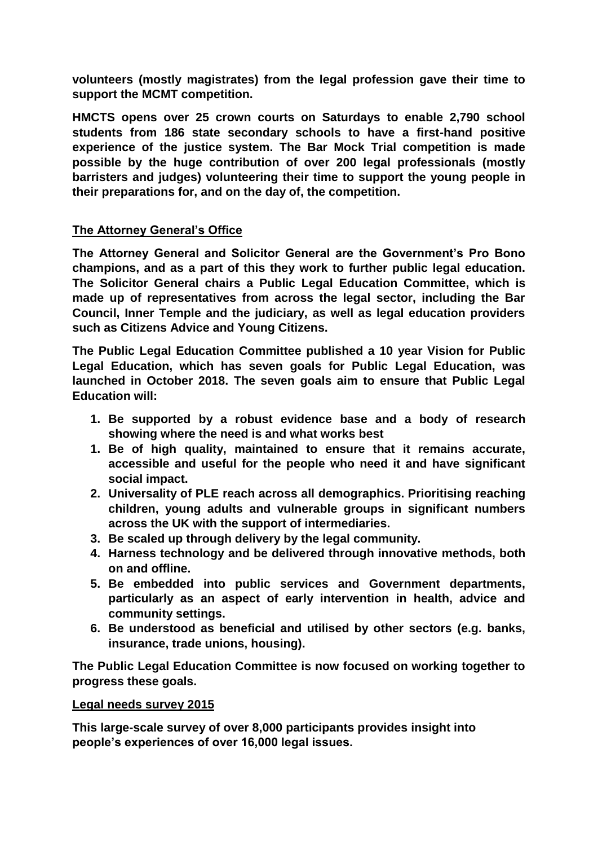**volunteers (mostly magistrates) from the legal profession gave their time to support the MCMT competition.**

**HMCTS opens over 25 crown courts on Saturdays to enable 2,790 school students from 186 state secondary schools to have a first-hand positive experience of the justice system. The Bar Mock Trial competition is made possible by the huge contribution of over 200 legal professionals (mostly barristers and judges) volunteering their time to support the young people in their preparations for, and on the day of, the competition.** 

### **The Attorney General's Office**

**The Attorney General and Solicitor General are the Government's Pro Bono champions, and as a part of this they work to further public legal education. The Solicitor General chairs a Public Legal Education Committee, which is made up of representatives from across the legal sector, including the Bar Council, Inner Temple and the judiciary, as well as legal education providers such as Citizens Advice and Young Citizens.** 

**The Public Legal Education Committee published a 10 year Vision for Public Legal Education, which has seven goals for Public Legal Education, was launched in October 2018. The seven goals aim to ensure that Public Legal Education will:**

- **1. Be supported by a robust evidence base and a body of research showing where the need is and what works best**
- **1. Be of high quality, maintained to ensure that it remains accurate, accessible and useful for the people who need it and have significant social impact.**
- **2. Universality of PLE reach across all demographics. Prioritising reaching children, young adults and vulnerable groups in significant numbers across the UK with the support of intermediaries.**
- **3. Be scaled up through delivery by the legal community.**
- **4. Harness technology and be delivered through innovative methods, both on and offline.**
- **5. Be embedded into public services and Government departments, particularly as an aspect of early intervention in health, advice and community settings.**
- **6. Be understood as beneficial and utilised by other sectors (e.g. banks, insurance, trade unions, housing).**

**The Public Legal Education Committee is now focused on working together to progress these goals.**

#### **Legal needs survey 2015**

**This large-scale survey of over 8,000 participants provides insight into people's experiences of over 16,000 legal issues.**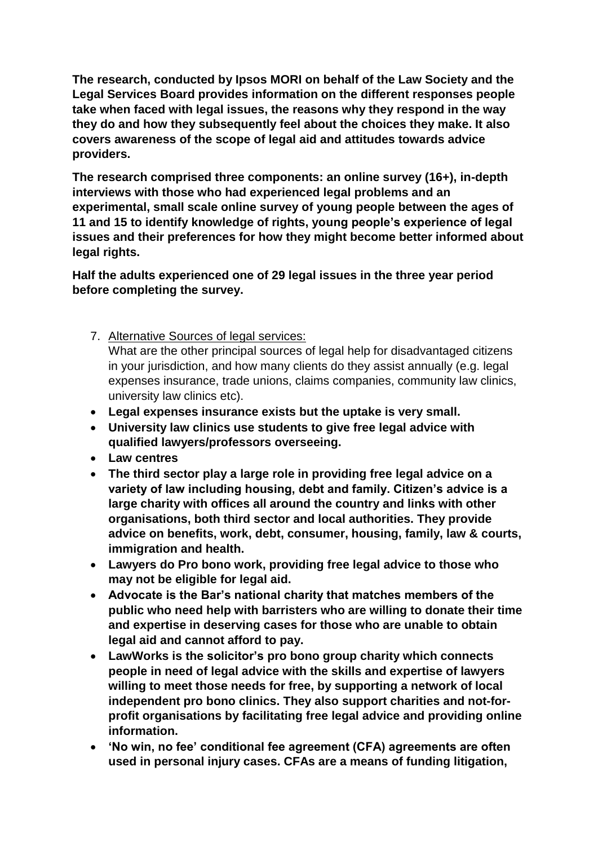**The research, conducted by Ipsos MORI on behalf of the Law Society and the Legal Services Board provides information on the different responses people take when faced with legal issues, the reasons why they respond in the way they do and how they subsequently feel about the choices they make. It also covers awareness of the scope of legal aid and attitudes towards advice providers.**

**The research comprised three components: an online survey (16+), in-depth interviews with those who had experienced legal problems and an experimental, small scale online survey of young people between the ages of 11 and 15 to identify knowledge of rights, young people's experience of legal issues and their preferences for how they might become better informed about legal rights.**

**Half the adults experienced one of 29 legal issues in the three year period before completing the survey.**

7. Alternative Sources of legal services:

What are the other principal sources of legal help for disadvantaged citizens in your jurisdiction, and how many clients do they assist annually (e.g. legal expenses insurance, trade unions, claims companies, community law clinics, university law clinics etc).

- **Legal expenses insurance exists but the uptake is very small.**
- **University law clinics use students to give free legal advice with qualified lawyers/professors overseeing.**
- **Law centres**
- **The third sector play a large role in providing free legal advice on a variety of law including housing, debt and family. Citizen's advice is a large charity with offices all around the country and links with other organisations, both third sector and local authorities. They provide advice on benefits, work, debt, consumer, housing, family, law & courts, immigration and health.**
- **Lawyers do Pro bono work, providing free legal advice to those who may not be eligible for legal aid.**
- **Advocate is the Bar's national charity that matches members of the public who need help with barristers who are willing to donate their time and expertise in deserving cases for those who are unable to obtain legal aid and cannot afford to pay.**
- **LawWorks is the solicitor's pro bono group charity which connects people in need of legal advice with the skills and expertise of lawyers willing to meet those needs for free, by supporting a network of local independent pro bono clinics. They also support charities and not-forprofit organisations by facilitating free legal advice and providing online information.**
- **'No win, no fee' conditional fee agreement (CFA) agreements are often used in personal injury cases. CFAs are a means of funding litigation,**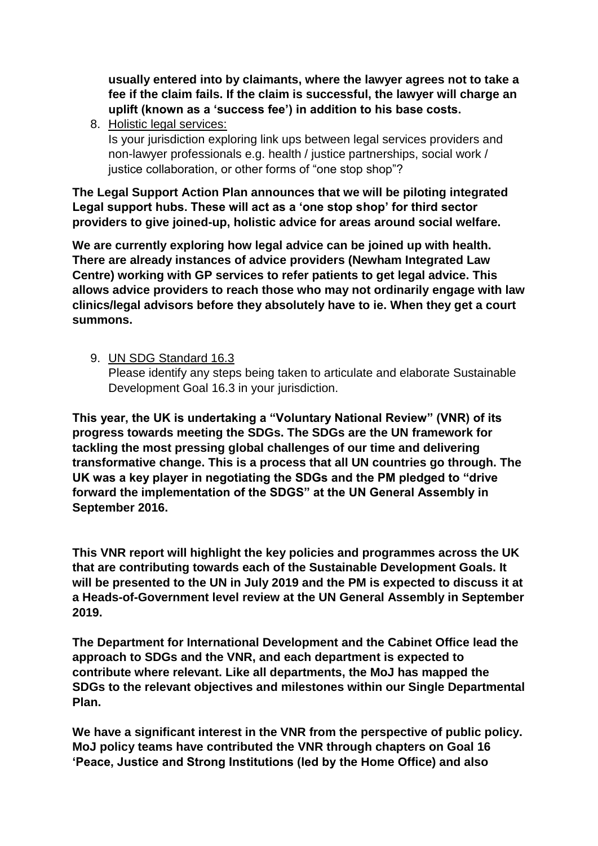**usually entered into by claimants, where the lawyer agrees not to take a fee if the claim fails. If the claim is successful, the lawyer will charge an uplift (known as a 'success fee') in addition to his base costs.**

8. Holistic legal services:

Is your jurisdiction exploring link ups between legal services providers and non-lawyer professionals e.g. health / justice partnerships, social work / justice collaboration, or other forms of "one stop shop"?

**The Legal Support Action Plan announces that we will be piloting integrated Legal support hubs. These will act as a 'one stop shop' for third sector providers to give joined-up, holistic advice for areas around social welfare.**

**We are currently exploring how legal advice can be joined up with health. There are already instances of advice providers (Newham Integrated Law Centre) working with GP services to refer patients to get legal advice. This allows advice providers to reach those who may not ordinarily engage with law clinics/legal advisors before they absolutely have to ie. When they get a court summons.** 

9. UN SDG Standard 16.3

Please identify any steps being taken to articulate and elaborate Sustainable Development Goal 16.3 in your jurisdiction.

**This year, the UK is undertaking a "Voluntary National Review" (VNR) of its progress towards meeting the SDGs. The SDGs are the UN framework for tackling the most pressing global challenges of our time and delivering transformative change. This is a process that all UN countries go through. The UK was a key player in negotiating the SDGs and the PM pledged to "drive forward the implementation of the SDGS" at the UN General Assembly in September 2016.**

**This VNR report will highlight the key policies and programmes across the UK that are contributing towards each of the Sustainable Development Goals. It will be presented to the UN in July 2019 and the PM is expected to discuss it at a Heads-of-Government level review at the UN General Assembly in September 2019.** 

**The Department for International Development and the Cabinet Office lead the approach to SDGs and the VNR, and each department is expected to contribute where relevant. Like all departments, the MoJ has mapped the SDGs to the relevant objectives and milestones within our Single Departmental Plan.** 

**We have a significant interest in the VNR from the perspective of public policy. MoJ policy teams have contributed the VNR through chapters on Goal 16 'Peace, Justice and Strong Institutions (led by the Home Office) and also**